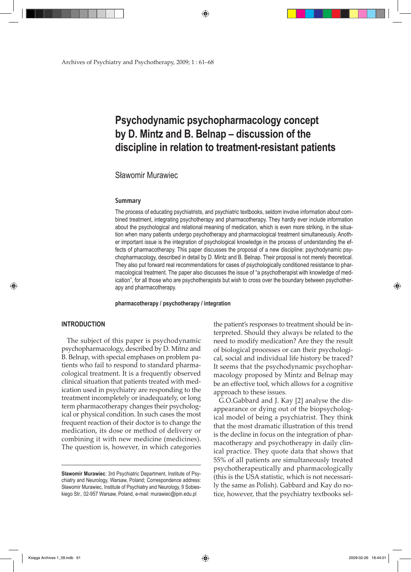Archives of Psychiatry and Psychotherapy, 2009; 1 : 61–68

# **Psychodynamic psychopharmacology concept by D. Mintz and B. Belnap – discussion of the discipline in relation to treatment-resistant patients**

# Sławomir Murawiec

#### **Summary**

The process of educating psychiatrists, and psychiatric textbooks, seldom involve information about combined treatment, integrating psychotherapy and pharmacotherapy. They hardly ever include information about the psychological and relational meaning of medication, which is even more striking, in the situation when many patients undergo psychotherapy and pharmacological treatment simultaneously. Another important issue is the integration of psychological knowledge in the process of understanding the effects of pharmacotherapy. This paper discusses the proposal of a new discipline: psychodynamic psychopharmacology, described in detail by D. Mintz and B. Belnap. Their proposal is not merely theoretical. They also put forward real recommendations for cases of psychologically conditioned resistance to pharmacological treatment. The paper also discusses the issue of "a psychotherapist with knowledge of medication", for all those who are psychotherapists but wish to cross over the boundary between psychotherapy and pharmacotherapy.

**pharmacotherapy / psychotherapy / integration**

#### **INTRODUCTION**

⊕

The subject of this paper is psychodynamic psychopharmacology, described by D. Mitnz and B. Belnap, with special emphases on problem patients who fail to respond to standard pharmacological treatment. It is a frequently observed clinical situation that patients treated with medication used in psychiatry are responding to the treatment incompletely or inadequately, or long term pharmacotherapy changes their psychological or physical condition. In such cases the most frequent reaction of their doctor is to change the medication, its dose or method of delivery or combining it with new medicine (medicines). The question is, however, in which categories

the patient's responses to treatment should be interpreted. Should they always be related to the need to modify medication? Are they the result of biological processes or can their psychological, social and individual life history be traced? It seems that the psychodynamic psychopharmacology proposed by Mintz and Belnap may be an effective tool, which allows for a cognitive approach to these issues.

G.O.Gabbard and J. Kay [2] analyse the disappearance or dying out of the biopsychological model of being a psychiatrist. They think that the most dramatic illustration of this trend is the decline in focus on the integration of pharmacotherapy and psychotherapy in daily clinical practice. They quote data that shows that 55% of all patients are simultaneously treated psychotherapeutically and pharmacologically (this is the USA statistic, which is not necessarily the same as Polish). Gabbard and Kay do notice, however, that the psychiatry textbooks sel-

Księga Archives 1\_09.indb 61 2009-02-26 18:44:01

♠

**Sławomir Murawiec**: 3rd Psychiatric Department, Institute of Psychiatry and Neurology, Warsaw, Poland; Correspondence address: Sławomir Murawiec, Institute of Psychiatry and Neurology, 9 Sobieskiego Str., 02-957 Warsaw, Poland, e-mail: murawiec@ipin.edu.pl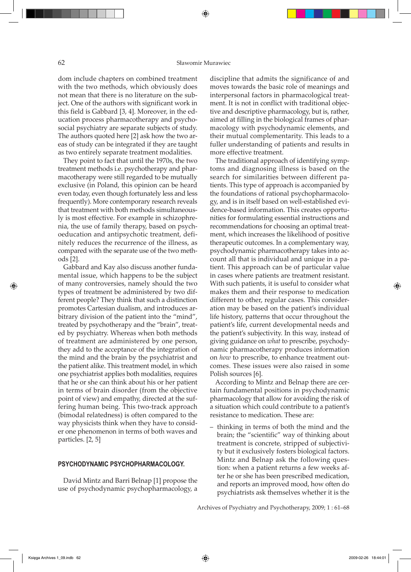dom include chapters on combined treatment with the two methods, which obviously does not mean that there is no literature on the subject. One of the authors with significant work in this field is Gabbard [3, 4]. Moreover, in the education process pharmacotherapy and psychosocial psychiatry are separate subjects of study. The authors quoted here [2] ask how the two areas of study can be integrated if they are taught as two entirely separate treatment modalities.

They point to fact that until the 1970s, the two treatment methods i.e. psychotherapy and pharmacotherapy were still regarded to be mutually exclusive (in Poland, this opinion can be heard even today, even though fortunately less and less frequently). More contemporary research reveals that treatment with both methods simultaneously is most effective. For example in schizophrenia, the use of family therapy, based on psychoeducation and antipsychotic treatment, definitely reduces the recurrence of the illness, as compared with the separate use of the two methods [2].

Gabbard and Kay also discuss another fundamental issue, which happens to be the subject of many controversies, namely should the two types of treatment be administered by two different people? They think that such a distinction promotes Cartesian dualism, and introduces arbitrary division of the patient into the "mind", treated by psychotherapy and the "brain", treated by psychiatry. Whereas when both methods of treatment are administered by one person, they add to the acceptance of the integration of the mind and the brain by the psychiatrist and the patient alike. This treatment model, in which one psychiatrist applies both modalities, requires that he or she can think about his or her patient in terms of brain disorder (from the objective point of view) and empathy, directed at the suffering human being. This two-track approach (bimodal relatedness) is often compared to the way physicists think when they have to consider one phenomenon in terms of both waves and particles. [2, 5]

#### **PSYCHODYNAMIC PSYCHOPHARMACOLOGY.**

David Mintz and Barri Belnap [1] propose the use of psychodynamic psychopharmacology, a discipline that admits the significance of and moves towards the basic role of meanings and interpersonal factors in pharmacological treatment. It is not in conflict with traditional objective and descriptive pharmacology, but is, rather, aimed at filling in the biological frames of pharmacology with psychodynamic elements, and their mutual complementarity. This leads to a fuller understanding of patients and results in more effective treatment.

The traditional approach of identifying symptoms and diagnosing illness is based on the search for similarities between different patients. This type of approach is accompanied by the foundations of rational psychopharmacology, and is in itself based on well-established evidence-based information. This creates opportunities for formulating essential instructions and recommendations for choosing an optimal treatment, which increases the likelihood of positive therapeutic outcomes. In a complementary way, psychodynamic pharmacotherapy takes into account all that is individual and unique in a patient. This approach can be of particular value in cases where patients are treatment resistant. With such patients, it is useful to consider what makes them and their response to medication different to other, regular cases. This consideration may be based on the patient's individual life history, patterns that occur throughout the patient's life, current developmental needs and the patient's subjectivity. In this way, instead of giving guidance on *what* to prescribe, psychodynamic pharmacotherapy produces information on *how* to prescribe, to enhance treatment outcomes. These issues were also raised in some Polish sources [6].

According to Mintz and Belnap there are certain fundamental positions in psychodynamic pharmacology that allow for avoiding the risk of a situation which could contribute to a patient's resistance to medication. These are:

– thinking in terms of both the mind and the brain; the "scientific" way of thinking about treatment is concrete, stripped of subjectivity but it exclusively fosters biological factors. Mintz and Belnap ask the following question: when a patient returns a few weeks after he or she has been prescribed medication, and reports an improved mood, how often do psychiatrists ask themselves whether it is the

Archives of Psychiatry and Psychotherapy, 2009; 1 : 61–68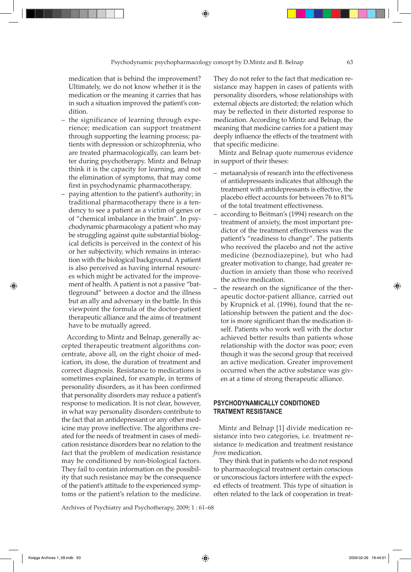medication that is behind the improvement? Ultimately, we do not know whether it is the medication or the meaning it carries that has in such a situation improved the patient's condition.

- the significance of learning through experience; medication can support treatment through supporting the learning process; patients with depression or schizophrenia, who are treated pharmacologically, can learn better during psychotherapy. Mintz and Belnap think it is the capacity for learning, and not the elimination of symptoms, that may come first in psychodynamic pharmacotherapy.
- paying attention to the patient's authority; in traditional pharmacotherapy there is a tendency to see a patient as a victim of genes or of "chemical imbalance in the brain". In psychodynamic pharmacology a patient who may be struggling against quite substantial biological deficits is perceived in the context of his or her subjectivity, which remains in interaction with the biological background. A patient is also perceived as having internal resources which might be activated for the improvement of health. A patient is not a passive "battleground" between a doctor and the illness but an ally and adversary in the battle. In this viewpoint the formula of the doctor-patient therapeutic alliance and the aims of treatment have to be mutually agreed.

According to Mintz and Belnap, generally accepted therapeutic treatment algorithms concentrate, above all, on the right choice of medication, its dose, the duration of treatment and correct diagnosis. Resistance to medications is sometimes explained, for example, in terms of personality disorders, as it has been confirmed that personality disorders may reduce a patient's response to medication. It is not clear, however, in what way personality disorders contribute to the fact that an antidepressant or any other medicine may prove ineffective. The algorithms created for the needs of treatment in cases of medication resistance disorders bear no relation to the fact that the problem of medication resistance may be conditioned by non-biological factors. They fail to contain information on the possibility that such resistance may be the consequence of the patient's attitude to the experienced symptoms or the patient's relation to the medicine.

Archives of Psychiatry and Psychotherapy, 2009; 1 : 61–68

They do not refer to the fact that medication resistance may happen in cases of patients with personality disorders, whose relationships with external objects are distorted; the relation which may be reflected in their distorted response to medication. According to Mintz and Belnap, the meaning that medicine carries for a patient may deeply influence the effects of the treatment with that specific medicine.

Mintz and Belnap quote numerous evidence in support of their theses:

- metaanalysis of research into the effectiveness of antidepressants indicates that although the treatment with antidepressants is effective, the placebo effect accounts for between 76 to 81% of the total treatment effectiveness.
- according to Beitman's (1994) research on the treatment of anxiety, the most important predictor of the treatment effectiveness was the patient's "readiness to change". The patients who received the placebo and not the active medicine (beznodiazepine), but who had greater motivation to change, had greater reduction in anxiety than those who received the active medication.
- the research on the significance of the therapeutic doctor-patient alliance, carried out by Krupnick et al. (1996), found that the relationship between the patient and the doctor is more significant than the medication itself. Patients who work well with the doctor achieved better results than patients whose relationship with the doctor was poor; even though it was the second group that received an active medication. Greater improvement occurred when the active substance was given at a time of strong therapeutic alliance.

# **PSYCHODYNAMICALLY CONdITIONED TRATMENT RESISTANCE**

Mintz and Belnap [1] divide medication resistance into two categories, i.e. treatment resistance *to* medication and treatment resistance *from* medication.

They think that in patients who do not respond to pharmacological treatment certain conscious or unconscious factors interfere with the expected effects of treatment. This type of situation is often related to the lack of cooperation in treat-

⊕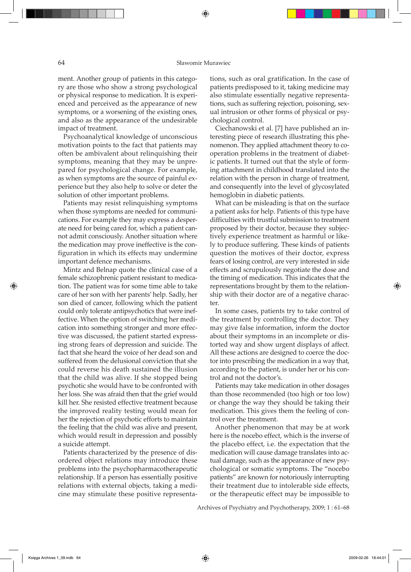#### 64 Sławomir Murawiec

ment. Another group of patients in this category are those who show a strong psychological or physical response to medication. It is experienced and perceived as the appearance of new symptoms, or a worsening of the existing ones, and also as the appearance of the undesirable impact of treatment.

Psychoanalytical knowledge of unconscious motivation points to the fact that patients may often be ambivalent about relinquishing their symptoms, meaning that they may be unprepared for psychological change. For example, as when symptoms are the source of painful experience but they also help to solve or deter the solution of other important problems.

Patients may resist relinquishing symptoms when those symptoms are needed for communications. For example they may express a desperate need for being cared for, which a patient cannot admit consciously. Another situation where the medication may prove ineffective is the configuration in which its effects may undermine important defence mechanisms.

Mintz and Belnap quote the clinical case of a female schizophrenic patient resistant to medication. The patient was for some time able to take care of her son with her parents' help. Sadly, her son died of cancer, following which the patient could only tolerate antipsychotics that were ineffective. When the option of switching her medication into something stronger and more effective was discussed, the patient started expressing strong fears of depression and suicide. The fact that she heard the voice of her dead son and suffered from the delusional conviction that she could reverse his death sustained the illusion that the child was alive. If she stopped being psychotic she would have to be confronted with her loss. She was afraid then that the grief would kill her. She resisted effective treatment because the improved reality testing would mean for her the rejection of psychotic efforts to maintain the feeling that the child was alive and present, which would result in depression and possibly a suicide attempt.

Patients characterized by the presence of disordered object relations may introduce these problems into the psychopharmacotherapeutic relationship. If a person has essentially positive relations with external objects, taking a medicine may stimulate these positive representations, such as oral gratification. In the case of patients predisposed to it, taking medicine may also stimulate essentially negative representations, such as suffering rejection, poisoning, sexual intrusion or other forms of physical or psychological control.

Ciechanowski et al. [7] have published an interesting piece of research illustrating this phenomenon. They applied attachment theory to cooperation problems in the treatment of diabetic patients. It turned out that the style of forming attachment in childhood translated into the relation with the person in charge of treatment, and consequently into the level of glycosylated hemoglobin in diabetic patients.

What can be misleading is that on the surface a patient asks for help. Patients of this type have difficulties with trustful submission to treatment proposed by their doctor, because they subjectively experience treatment as harmful or likely to produce suffering. These kinds of patients question the motives of their doctor, express fears of losing control, are very interested in side effects and scrupulously negotiate the dose and the timing of medication. This indicates that the representations brought by them to the relationship with their doctor are of a negative character.

In some cases, patients try to take control of the treatment by controlling the doctor. They may give false information, inform the doctor about their symptoms in an incomplete or distorted way and show urgent displays of affect. All these actions are designed to coerce the doctor into prescribing the medication in a way that, according to the patient, is under her or his control and not the doctor's.

Patients may take medication in other dosages than those recommended (too high or too low) or change the way they should be taking their medication. This gives them the feeling of control over the treatment.

Another phenomenon that may be at work here is the nocebo effect, which is the inverse of the placebo effect, i.e. the expectation that the medication will cause damage translates into actual damage, such as the appearance of new psychological or somatic symptoms. The "nocebo patients" are known for notoriously interrupting their treatment due to intolerable side effects, or the therapeutic effect may be impossible to

Archives of Psychiatry and Psychotherapy, 2009; 1 : 61–68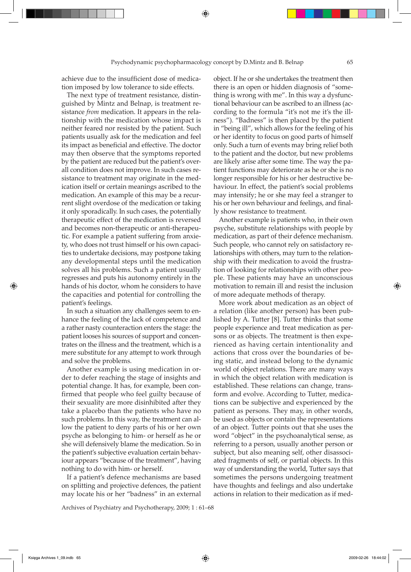achieve due to the insufficient dose of medication imposed by low tolerance to side effects.

The next type of treatment resistance, distinguished by Mintz and Belnap, is treatment resistance *from* medication. It appears in the relationship with the medication whose impact is neither feared nor resisted by the patient. Such patients usually ask for the medication and feel its impact as beneficial and effective. The doctor may then observe that the symptoms reported by the patient are reduced but the patient's overall condition does not improve. In such cases resistance to treatment may originate in the medication itself or certain meanings ascribed to the medication. An example of this may be a recurrent slight overdose of the medication or taking it only sporadically. In such cases, the potentially therapeutic effect of the medication is reversed and becomes non-therapeutic or anti-therapeutic. For example a patient suffering from anxiety, who does not trust himself or his own capacities to undertake decisions, may postpone taking any developmental steps until the medication solves all his problems. Such a patient usually regresses and puts his autonomy entirely in the hands of his doctor, whom he considers to have the capacities and potential for controlling the patient's feelings.

In such a situation any challenges seem to enhance the feeling of the lack of competence and a rather nasty counteraction enters the stage: the patient looses his sources of support and concentrates on the illness and the treatment, which is a mere substitute for any attempt to work through and solve the problems.

Another example is using medication in order to defer reaching the stage of insights and potential change. It has, for example, been confirmed that people who feel guilty because of their sexuality are more disinhibited after they take a placebo than the patients who have no such problems. In this way, the treatment can allow the patient to deny parts of his or her own psyche as belonging to him- or herself as he or she will defensively blame the medication. So in the patient's subjective evaluation certain behaviour appears "because of the treatment", having nothing to do with him- or herself.

If a patient's defence mechanisms are based on splitting and projective defences, the patient may locate his or her "badness" in an external

Archives of Psychiatry and Psychotherapy, 2009; 1 : 61–68

object. If he or she undertakes the treatment then there is an open or hidden diagnosis of "something is wrong with me". In this way a dysfunctional behaviour can be ascribed to an illness (according to the formula "it's not me it's the illness"). "Badness" is then placed by the patient in "being ill", which allows for the feeling of his or her identity to focus on good parts of himself only. Such a turn of events may bring relief both to the patient and the doctor, but new problems are likely arise after some time. The way the patient functions may deteriorate as he or she is no longer responsible for his or her destructive behaviour. In effect, the patient's social problems may intensify; he or she may feel a stranger to his or her own behaviour and feelings, and finally show resistance to treatment.

Another example is patients who, in their own psyche, substitute relationships with people by medication, as part of their defence mechanism. Such people, who cannot rely on satisfactory relationships with others, may turn to the relationship with their medication to avoid the frustration of looking for relationships with other people. These patients may have an unconscious motivation to remain ill and resist the inclusion of more adequate methods of therapy.

More work about medication as an object of a relation (like another person) has been published by A. Tutter [8]. Tutter thinks that some people experience and treat medication as persons or as objects. The treatment is then experienced as having certain intentionality and actions that cross over the boundaries of being static, and instead belong to the dynamic world of object relations. There are many ways in which the object relation with medication is established. These relations can change, transform and evolve. According to Tutter, medications can be subjective and experienced by the patient as persons. They may, in other words, be used as objects or contain the representations of an object. Tutter points out that she uses the word "object" in the psychoanalytical sense, as referring to a person, usually another person or subject, but also meaning self, other disassociated fragments of self, or partial objects. In this way of understanding the world, Tutter says that sometimes the persons undergoing treatment have thoughts and feelings and also undertake actions in relation to their medication as if med-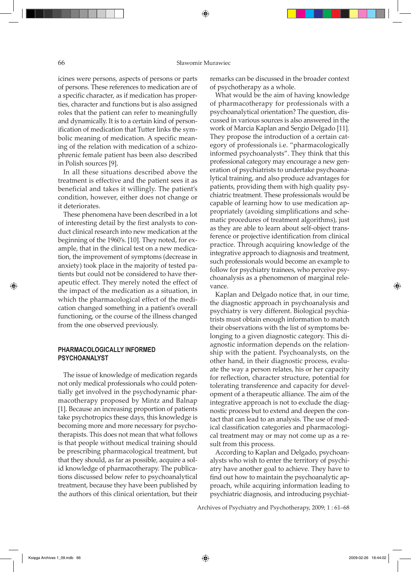icines were persons, aspects of persons or parts of persons. These references to medication are of a specific character, as if medication has properties, character and functions but is also assigned roles that the patient can refer to meaningfully and dynamically. It is to a certain kind of personification of medication that Tutter links the symbolic meaning of medication. A specific meaning of the relation with medication of a schizophrenic female patient has been also described in Polish sources [9].

In all these situations described above the treatment is effective and the patient sees it as beneficial and takes it willingly. The patient's condition, however, either does not change or it deteriorates.

These phenomena have been described in a lot of interesting detail by the first analysts to conduct clinical research into new medication at the beginning of the 1960's. [10]. They noted, for example, that in the clinical test on a new medication, the improvement of symptoms (decrease in anxiety) took place in the majority of tested patients but could not be considered to have therapeutic effect. They merely noted the effect of the impact of the medication as a situation, in which the pharmacological effect of the medication changed something in a patient's overall functioning, or the course of the illness changed from the one observed previously.

## **PHARMACOLOGICALLY INFORMED PSYCHOANALYST**

The issue of knowledge of medication regards not only medical professionals who could potentially get involved in the psychodynamic pharmacotherapy proposed by Mintz and Balnap [1]. Because an increasing proportion of patients take psychotropics these days, this knowledge is becoming more and more necessary for psychotherapists. This does not mean that what follows is that people without medical training should be prescribing pharmacological treatment, but that they should, as far as possible, acquire a solid knowledge of pharmacotherapy. The publications discussed below refer to psychoanalytical treatment, because they have been published by the authors of this clinical orientation, but their

remarks can be discussed in the broader context of psychotherapy as a whole.

What would be the aim of having knowledge of pharmacotherapy for professionals with a psychoanalytical orientation? The question, discussed in various sources is also answered in the work of Marcia Kaplan and Sergio Delgado [11]. They propose the introduction of a certain category of professionals i.e. "pharmacologically informed psychoanalysts". They think that this professional category may encourage a new generation of psychiatrists to undertake psychoanalytical training, and also produce advantages for patients, providing them with high quality psychiatric treatment. These professionals would be capable of learning how to use medication appropriately (avoiding simplifications and schematic procedures of treatment algorithms), just as they are able to learn about self-object transference or projective identification from clinical practice. Through acquiring knowledge of the integrative approach to diagnosis and treatment, such professionals would become an example to follow for psychiatry trainees, who perceive psychoanalysis as a phenomenon of marginal relevance.

Kaplan and Delgado notice that, in our time, the diagnostic approach in psychoanalysis and psychiatry is very different. Biological psychiatrists must obtain enough information to match their observations with the list of symptoms belonging to a given diagnostic category. This diagnostic information depends on the relationship with the patient. Psychoanalysts, on the other hand, in their diagnostic process, evaluate the way a person relates, his or her capacity for reflection, character structure, potential for tolerating transference and capacity for development of a therapeutic alliance. The aim of the integrative approach is not to exclude the diagnostic process but to extend and deepen the contact that can lead to an analysis. The use of medical classification categories and pharmacological treatment may or may not come up as a result from this process.

According to Kaplan and Delgado, psychoanalysts who wish to enter the territory of psychiatry have another goal to achieve. They have to find out how to maintain the psychoanalytic approach, while acquiring information leading to psychiatric diagnosis, and introducing psychiat-

Archives of Psychiatry and Psychotherapy, 2009; 1 : 61–68

⊕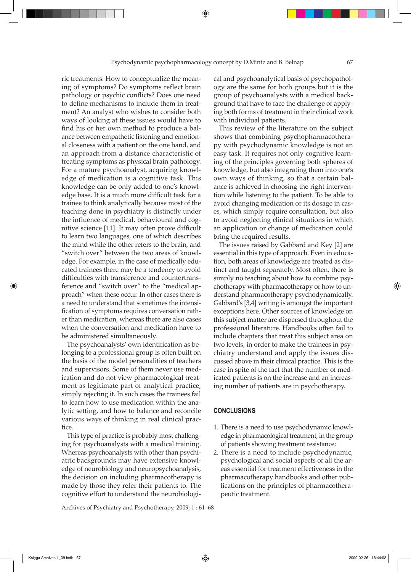ric treatments. How to conceptualize the meaning of symptoms? Do symptoms reflect brain pathology or psychic conflicts? Does one need to define mechanisms to include them in treatment? An analyst who wishes to consider both ways of looking at these issues would have to find his or her own method to produce a balance between empathetic listening and emotional closeness with a patient on the one hand, and an approach from a distance characteristic of treating symptoms as physical brain pathology. For a mature psychoanalyst, acquiring knowledge of medication is a cognitive task. This knowledge can be only added to one's knowledge base. It is a much more difficult task for a trainee to think analytically because most of the teaching done in psychiatry is distinctly under the influence of medical, behavioural and cognitive science [11]. It may often prove difficult to learn two languages, one of which describes the mind while the other refers to the brain, and "switch over" between the two areas of knowledge. For example, in the case of medically educated trainees there may be a tendency to avoid difficulties with transference and countertransference and "switch over" to the "medical approach" when these occur. In other cases there is a need to understand that sometimes the intensification of symptoms requires conversation rather than medication, whereas there are also cases when the conversation and medication have to be administered simultaneously.

The psychoanalysts' own identification as belonging to a professional group is often built on the basis of the model personalities of teachers and supervisors. Some of them never use medication and do not view pharmacological treatment as legitimate part of analytical practice, simply rejecting it. In such cases the trainees fail to learn how to use medication within the analytic setting, and how to balance and reconcile various ways of thinking in real clinical practice.

This type of practice is probably most challenging for psychoanalysts with a medical training. Whereas psychoanalysts with other than psychiatric backgrounds may have extensive knowledge of neurobiology and neuropsychoanalysis, the decision on including pharmacotherapy is made by those they refer their patients to. The cognitive effort to understand the neurobiologi-

Archives of Psychiatry and Psychotherapy, 2009; 1 : 61–68

cal and psychoanalytical basis of psychopathology are the same for both groups but it is the group of psychoanalysts with a medical background that have to face the challenge of applying both forms of treatment in their clinical work with individual patients.

This review of the literature on the subject shows that combining psychopharmacotherapy with psychodynamic knowledge is not an easy task. It requires not only cognitive learning of the principles governing both spheres of knowledge, but also integrating them into one's own ways of thinking, so that a certain balance is achieved in choosing the right intervention while listening to the patient. To be able to avoid changing medication or its dosage in cases, which simply require consultation, but also to avoid neglecting clinical situations in which an application or change of medication could bring the required results.

The issues raised by Gabbard and Key [2] are essential in this type of approach. Even in education, both areas of knowledge are treated as distinct and taught separately. Most often, there is simply no teaching about how to combine psychotherapy with pharmacotherapy or how to understand pharmacotherapy psychodynamically. Gabbard's [3,4] writing is amongst the important exceptions here. Other sources of knowledge on this subject matter are dispersed throughout the professional literature. Handbooks often fail to include chapters that treat this subject area on two levels, in order to make the trainees in psychiatry understand and apply the issues discussed above in their clinical practice. This is the case in spite of the fact that the number of medicated patients is on the increase and an increasing number of patients are in psychotherapy.

### **CONCLUSIONS**

- 1. There is a need to use psychodynamic knowledge in pharmacological treatment, in the group of patients showing treatment resistance;
- 2. There is a need to include psychodynamic, psychological and social aspects of all the areas essential for treatment effectiveness in the pharmacotherapy handbooks and other publications on the principles of pharmacotherapeutic treatment.

⊕